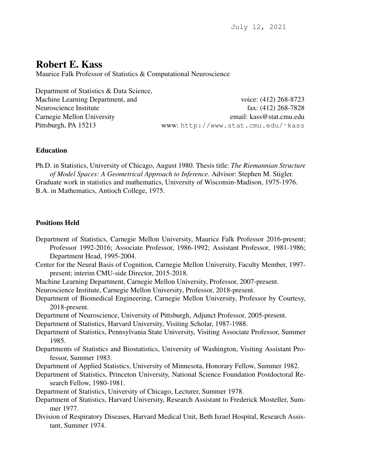# Robert E. Kass

Maurice Falk Professor of Statistics & Computational Neuroscience

Department of Statistics & Data Science,

Machine Learning Department, and voice: (412) 268-8723 Neuroscience Institute fax: (412) 268-7828 Carnegie Mellon University email: kass@stat.cmu.edu Pittsburgh, PA 15213 www: http://www.stat.cmu.edu/˜kass

## Education

Ph.D. in Statistics, University of Chicago, August 1980. Thesis title: *The Riemannian Structure of Model Spaces: A Geometrical Approach to Inference*. Advisor: Stephen M. Stigler. Graduate work in statistics and mathematics, University of Wisconsin-Madison, 1975-1976. B.A. in Mathematics, Antioch College, 1975.

## Positions Held

- Department of Statistics, Carnegie Mellon University, Maurice Falk Professor 2016-present; Professor 1992-2016; Associate Professor, 1986-1992; Assistant Professor, 1981-1986; Department Head, 1995-2004.
- Center for the Neural Basis of Cognition, Carnegie Mellon University, Faculty Member, 1997 present; interim CMU-side Director, 2015-2018.
- Machine Learning Department, Carnegie Mellon University, Professor, 2007-present.
- Neuroscience Institute, Carnegie Mellon University, Professor, 2018-present.
- Department of Biomedical Engineering, Carnegie Mellon University, Professor by Courtesy, 2018-present.
- Department of Neuroscience, University of Pittsburgh, Adjunct Professor, 2005-present.
- Department of Statistics, Harvard University, Visiting Scholar, 1987-1988.
- Department of Statistics, Pennsylvania State University, Visiting Associate Professor, Summer 1985.
- Departments of Statistics and Biostatistics, University of Washington, Visiting Assistant Professor, Summer 1983.
- Department of Applied Statistics, University of Minnesota, Honorary Fellow, Summer 1982.
- Department of Statistics, Princeton University, National Science Foundation Postdoctoral Research Fellow, 1980-1981.
- Department of Statistics, University of Chicago, Lecturer, Summer 1978.
- Department of Statistics, Harvard University, Research Assistant to Frederick Mosteller, Summer 1977.
- Division of Respiratory Diseases, Harvard Medical Unit, Beth Israel Hospital, Research Assistant, Summer 1974.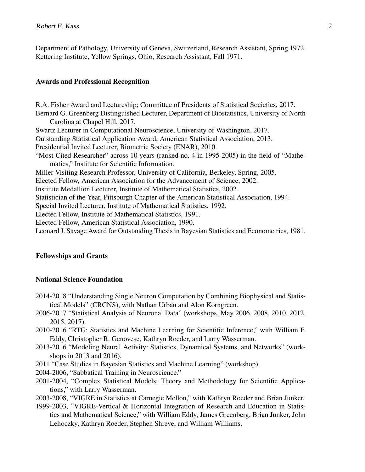Department of Pathology, University of Geneva, Switzerland, Research Assistant, Spring 1972. Kettering Institute, Yellow Springs, Ohio, Research Assistant, Fall 1971.

#### Awards and Professional Recognition

R.A. Fisher Award and Lectureship; Committee of Presidents of Statistical Societies, 2017. Bernard G. Greenberg Distinguished Lecturer, Department of Biostatistics, University of North Carolina at Chapel Hill, 2017. Swartz Lecturer in Computational Neuroscience, University of Washington, 2017. Outstanding Statistical Application Award, American Statistical Association, 2013. Presidential Invited Lecturer, Biometric Society (ENAR), 2010. "Most-Cited Researcher" across 10 years (ranked no. 4 in 1995-2005) in the field of "Mathematics," Institute for Scientific Information. Miller Visiting Research Professor, University of California, Berkeley, Spring, 2005. Elected Fellow, American Association for the Advancement of Science, 2002. Institute Medallion Lecturer, Institute of Mathematical Statistics, 2002. Statistician of the Year, Pittsburgh Chapter of the American Statistical Association, 1994. Special Invited Lecturer, Institute of Mathematical Statistics, 1992. Elected Fellow, Institute of Mathematical Statistics, 1991. Elected Fellow, American Statistical Association, 1990. Leonard J. Savage Award for Outstanding Thesis in Bayesian Statistics and Econometrics, 1981.

#### Fellowships and Grants

## National Science Foundation

- 2014-2018 "Understanding Single Neuron Computation by Combining Biophysical and Statistical Models" (CRCNS), with Nathan Urban and Alon Korngreen.
- 2006-2017 "Statistical Analysis of Neuronal Data" (workshops, May 2006, 2008, 2010, 2012, 2015, 2017).
- 2010-2016 "RTG: Statistics and Machine Learning for Scientific Inference," with William F. Eddy, Christopher R. Genovese, Kathryn Roeder, and Larry Wasserman.
- 2013-2016 "Modeling Neural Activity: Statistics, Dynamical Systems, and Networks" (workshops in 2013 and 2016).
- 2011 "Case Studies in Bayesian Statistics and Machine Learning" (workshop).
- 2004-2006, "Sabbatical Training in Neuroscience."
- 2001-2004, "Complex Statistical Models: Theory and Methodology for Scientific Applications," with Larry Wasserman.
- 2003-2008, "VIGRE in Statistics at Carnegie Mellon," with Kathryn Roeder and Brian Junker.
- 1999-2003, "VIGRE-Vertical & Horizontal Integration of Research and Education in Statistics and Mathematical Science," with William Eddy, James Greenberg, Brian Junker, John Lehoczky, Kathryn Roeder, Stephen Shreve, and William Williams.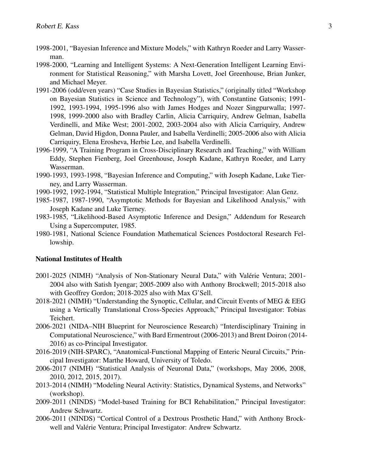- 1998-2001, "Bayesian Inference and Mixture Models," with Kathryn Roeder and Larry Wasserman.
- 1998-2000, "Learning and Intelligent Systems: A Next-Generation Intelligent Learning Environment for Statistical Reasoning," with Marsha Lovett, Joel Greenhouse, Brian Junker, and Michael Meyer.
- 1991-2006 (odd/even years) "Case Studies in Bayesian Statistics," (originally titled "Workshop on Bayesian Statistics in Science and Technology"), with Constantine Gatsonis; 1991- 1992, 1993-1994, 1995-1996 also with James Hodges and Nozer Singpurwalla; 1997- 1998, 1999-2000 also with Bradley Carlin, Alicia Carriquiry, Andrew Gelman, Isabella Verdinelli, and Mike West; 2001-2002, 2003-2004 also with Alicia Carriquiry, Andrew Gelman, David Higdon, Donna Pauler, and Isabella Verdinelli; 2005-2006 also with Alicia Carriquiry, Elena Erosheva, Herbie Lee, and Isabella Verdinelli.
- 1996-1999, "A Training Program in Cross-Disciplinary Research and Teaching," with William Eddy, Stephen Fienberg, Joel Greenhouse, Joseph Kadane, Kathryn Roeder, and Larry Wasserman.
- 1990-1993, 1993-1998, "Bayesian Inference and Computing," with Joseph Kadane, Luke Tierney, and Larry Wasserman.
- 1990-1992, 1992-1994, "Statistical Multiple Integration," Principal Investigator: Alan Genz.
- 1985-1987, 1987-1990, "Asymptotic Methods for Bayesian and Likelihood Analysis," with Joseph Kadane and Luke Tierney.
- 1983-1985, "Likelihood-Based Asymptotic Inference and Design," Addendum for Research Using a Supercomputer, 1985.
- 1980-1981, National Science Foundation Mathematical Sciences Postdoctoral Research Fellowship.

#### National Institutes of Health

- 2001-2025 (NIMH) "Analysis of Non-Stationary Neural Data," with Valerie Ventura; 2001- ´ 2004 also with Satish Iyengar; 2005-2009 also with Anthony Brockwell; 2015-2018 also with Geoffrey Gordon; 2018-2025 also with Max G'Sell.
- 2018-2021 (NIMH) "Understanding the Synoptic, Cellular, and Circuit Events of MEG & EEG using a Vertically Translational Cross-Species Approach," Principal Investigator: Tobias Teichert.
- 2006-2021 (NIDA–NIH Blueprint for Neuroscience Research) "Interdisciplinary Training in Computational Neuroscience," with Bard Ermentrout (2006-2013) and Brent Doiron (2014- 2016) as co-Principal Investigator.
- 2016-2019 (NIH-SPARC), "Anatomical-Functional Mapping of Enteric Neural Circuits," Principal Investigator: Marthe Howard, University of Toledo.
- 2006-2017 (NIMH) "Statistical Analysis of Neuronal Data," (workshops, May 2006, 2008, 2010, 2012, 2015, 2017).
- 2013-2014 (NIMH) "Modeling Neural Activity: Statistics, Dynamical Systems, and Networks" (workshop).
- 2009-2011 (NINDS) "Model-based Training for BCI Rehabilitation," Principal Investigator: Andrew Schwartz.
- 2006-2011 (NINDS) "Cortical Control of a Dextrous Prosthetic Hand," with Anthony Brockwell and Valérie Ventura; Principal Investigator: Andrew Schwartz.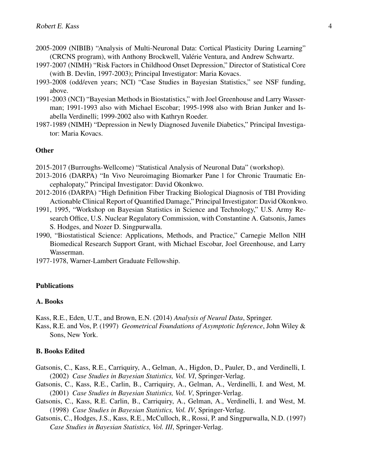- 2005-2009 (NIBIB) "Analysis of Multi-Neuronal Data: Cortical Plasticity During Learning" (CRCNS program), with Anthony Brockwell, Valerie Ventura, and Andrew Schwartz. ´
- 1997-2007 (NIMH) "Risk Factors in Childhood Onset Depression," Director of Statistical Core (with B. Devlin, 1997-2003); Principal Investigator: Maria Kovacs.
- 1993-2008 (odd/even years; NCI) "Case Studies in Bayesian Statistics," see NSF funding, above.
- 1991-2003 (NCI) "Bayesian Methods in Biostatistics," with Joel Greenhouse and Larry Wasserman; 1991-1993 also with Michael Escobar; 1995-1998 also with Brian Junker and Isabella Verdinelli; 1999-2002 also with Kathryn Roeder.
- 1987-1989 (NIMH) "Depression in Newly Diagnosed Juvenile Diabetics," Principal Investigator: Maria Kovacs.

#### **Other**

- 2015-2017 (Burroughs-Wellcome) "Statistical Analysis of Neuronal Data" (workshop).
- 2013-2016 (DARPA) "In Vivo Neuroimaging Biomarker Pane l for Chronic Traumatic Encephalopaty," Principal Investigator: David Okonkwo.
- 2012-2016 (DARPA) "High Definition Fiber Tracking Biological Diagnosis of TBI Providing Actionable Clinical Report of Quantified Damage," Principal Investigator: David Okonkwo.
- 1991, 1995, "Workshop on Bayesian Statistics in Science and Technology," U.S. Army Research Office, U.S. Nuclear Regulatory Commission, with Constantine A. Gatsonis, James S. Hodges, and Nozer D. Singpurwalla.
- 1990, "Biostatistical Science: Applications, Methods, and Practice," Carnegie Mellon NIH Biomedical Research Support Grant, with Michael Escobar, Joel Greenhouse, and Larry Wasserman.
- 1977-1978, Warner-Lambert Graduate Fellowship.

#### Publications

#### A. Books

Kass, R.E., Eden, U.T., and Brown, E.N. (2014) *Analysis of Neural Data*, Springer.

Kass, R.E. and Vos, P. (1997) *Geometrical Foundations of Asymptotic Inference*, John Wiley & Sons, New York.

#### B. Books Edited

- Gatsonis, C., Kass, R.E., Carriquiry, A., Gelman, A., Higdon, D., Pauler, D., and Verdinelli, I. (2002) *Case Studies in Bayesian Statistics, Vol. VI*, Springer-Verlag.
- Gatsonis, C., Kass, R.E., Carlin, B., Carriquiry, A., Gelman, A., Verdinelli, I. and West, M. (2001) *Case Studies in Bayesian Statistics, Vol. V*, Springer-Verlag.
- Gatsonis, C., Kass, R.E. Carlin, B., Carriquiry, A., Gelman, A., Verdinelli, I. and West, M. (1998) *Case Studies in Bayesian Statistics, Vol. IV*, Springer-Verlag.
- Gatsonis, C., Hodges, J.S., Kass, R.E., McCulloch, R., Rossi, P. and Singpurwalla, N.D. (1997) *Case Studies in Bayesian Statistics, Vol. III*, Springer-Verlag.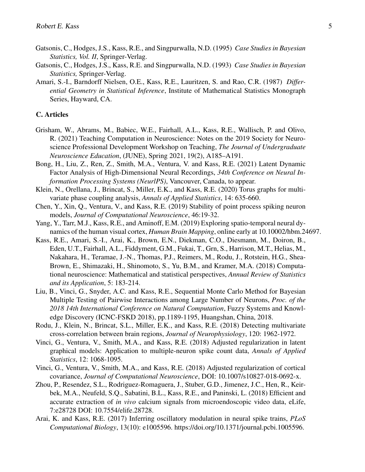- Gatsonis, C., Hodges, J.S., Kass, R.E., and Singpurwalla, N.D. (1995) *Case Studies in Bayesian Statistics, Vol. II*, Springer-Verlag.
- Gatsonis, C., Hodges, J.S., Kass, R.E. and Singpurwalla, N.D. (1993) *Case Studies in Bayesian Statistics,* Springer-Verlag.
- Amari, S.-I., Barndorff Nielsen, O.E., Kass, R.E., Lauritzen, S. and Rao, C.R. (1987) *Differential Geometry in Statistical Inference*, Institute of Mathematical Statistics Monograph Series, Hayward, CA.

#### C. Articles

- Grisham, W., Abrams, M., Babiec, W.E., Fairhall, A.L., Kass, R.E., Wallisch, P. and Olivo, R. (2021) Teaching Computation in Neuroscience: Notes on the 2019 Society for Neuroscience Professional Development Workshop on Teaching, *The Journal of Undergraduate Neuroscience Education*, (JUNE), Spring 2021, 19(2), A185–A191.
- Bong, H., Liu, Z., Ren, Z., Smith, M.A., Ventura, V. and Kass, R.E. (2021) Latent Dynamic Factor Analysis of High-Dimensional Neural Recordings, *34th Conference on Neural Information Processing Systems (NeurlPS)*, Vancouver, Canada, to appear.
- Klein, N., Orellana, J., Brincat, S., Miller, E.K., and Kass, R.E. (2020) Torus graphs for multivariate phase coupling analysis, *Annals of Applied Statistics*, 14: 635-660.
- Chen, Y., Xin, Q., Ventura, V., and Kass, R.E. (2019) Stability of point process spiking neuron models, *Journal of Computational Neuroscience*, 46:19-32.
- Yang, Y., Tarr, M.J., Kass, R.E., and Aminoff, E.M. (2019) Exploring spatio-temporal neural dynamics of the human visual cortex, *Human Brain Mapping*, online early at 10.10002/hbm.24697.
- Kass, R.E., Amari, S.-I., Arai, K., Brown, E.N., Diekman, C.O., Diesmann, M., Doiron, B., Eden, U.T., Fairhall, A.L., Fiddyment, G.M., Fukai, T., Grn, S., Harrison, M.T., Helias, M., Nakahara, H., Teramae, J.-N., Thomas, P.J., Reimers, M., Rodu, J., Rotstein, H.G., Shea-Brown, E., Shimazaki, H., Shinomoto, S., Yu, B.M., and Kramer, M.A. (2018) Computational neuroscience: Mathematical and statistical perspectives, *Annual Review of Statistics and its Application*, 5: 183-214.
- Liu, B., Vinci, G., Snyder, A.C. and Kass, R.E., Sequential Monte Carlo Method for Bayesian Multiple Testing of Pairwise Interactions among Large Number of Neurons, *Proc. of the 2018 14th International Conference on Natural Computation*, Fuzzy Systems and Knowledge Discovery (ICNC-FSKD 2018), pp.1189-1195, Huangshan, China, 2018.
- Rodu, J., Klein, N., Brincat, S.L., Miller, E.K., and Kass, R.E. (2018) Detecting multivariate cross-correlation between brain regions, *Journal of Neurophysiology*, 120: 1962-1972.
- Vinci, G., Ventura, V., Smith, M.A., and Kass, R.E. (2018) Adjusted regularization in latent graphical models: Application to multiple-neuron spike count data, *Annals of Applied Statistics*, 12: 1068-1095.
- Vinci, G., Ventura, V., Smith, M.A., and Kass, R.E. (2018) Adjusted regularization of cortical covariance, *Journal of Computational Neuroscience*, DOI: 10.1007/s10827-018-0692-x.
- Zhou, P., Resendez, S.L., Rodriguez-Romaguera, J., Stuber, G.D., Jimenez, J.C., Hen, R., Keirbek, M.A., Neufeld, S.Q., Sabatini, B.L., Kass, R.E., and Paninski, L. (2018) Efficient and accurate extraction of *in vivo* calcium signals from microendoscopic video data, eLife, 7:e28728 DOI: 10.7554/elife.28728.
- Arai, K. and Kass, R.E. (2017) Inferring oscillatory modulation in neural spike trains, *PLoS Computational Biology*, 13(10): e1005596. https://doi.org/10.1371/journal.pcbi.1005596.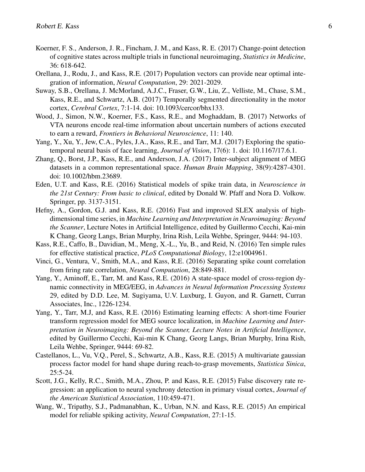- Koerner, F. S., Anderson, J. R., Fincham, J. M., and Kass, R. E. (2017) Change-point detection of cognitive states across multiple trials in functional neuroimaging, *Statistics in Medicine*, 36: 618-642.
- Orellana, J., Rodu, J., and Kass, R.E. (2017) Population vectors can provide near optimal integration of information, *Neural Computation*, 29: 2021-2029.
- Suway, S.B., Orellana, J. McMorland, A.J.C., Fraser, G.W., Liu, Z., Velliste, M., Chase, S.M., Kass, R.E., and Schwartz, A.B. (2017) Temporally segmented directionality in the motor cortex, *Cerebral Cortex*, 7:1-14. doi: 10.1093/cercor/bhx133.
- Wood, J., Simon, N.W., Koerner, F.S., Kass, R.E., and Moghaddam, B. (2017) Networks of VTA neurons encode real-time information about uncertain numbers of actions executed to earn a reward, *Frontiers in Behavioral Neuroscience*, 11: 140.
- Yang, Y., Xu, Y., Jew, C.A., Pyles, J.A., Kass, R.E., and Tarr, M.J. (2017) Exploring the spatiotemporal neural basis of face learning, *Journal of Vision*, 17(6): 1. doi: 10.1167/17.6.1.
- Zhang, Q., Borst, J.P., Kass, R.E., and Anderson, J.A. (2017) Inter-subject alignment of MEG datasets in a common representational space. *Human Brain Mapping*, 38(9):4287-4301. doi: 10.1002/hbm.23689.
- Eden, U.T. and Kass, R.E. (2016) Statistical models of spike train data, in *Neuroscience in the 21st Century: From basic to clinical*, edited by Donald W. Pfaff and Nora D. Volkow. Springer, pp. 3137-3151.
- Hefny, A., Gordon, G.J. and Kass, R.E. (2016) Fast and improved SLEX analysis of highdimensional time series, in *Machine Learning and Interpretation in Neuroimaging: Beyond the Scanner*, Lecture Notes in Artificial Intelligence, edited by Guillermo Cecchi, Kai-min K Chang, Georg Langs, Brian Murphy, Irina Rish, Leila Wehbe, Springer, 9444: 94-103.
- Kass, R.E., Caffo, B., Davidian, M., Meng, X.-L., Yu, B., and Reid, N. (2016) Ten simple rules for effective statistical practice, *PLoS Computational Biology*, 12:e1004961.
- Vinci, G., Ventura, V., Smith, M.A., and Kass, R.E. (2016) Separating spike count correlation from firing rate correlation, *Neural Computation*, 28:849-881.
- Yang, Y., Aminoff, E., Tarr, M. and Kass, R.E. (2016) A state-space model of cross-region dynamic connectivity in MEG/EEG, in *Advances in Neural Information Processing Systems* 29, edited by D.D. Lee, M. Sugiyama, U.V. Luxburg, I. Guyon, and R. Garnett, Curran Associates, Inc., 1226-1234.
- Yang, Y., Tarr, M.J, and Kass, R.E. (2016) Estimating learning effects: A short-time Fourier transform regression model for MEG source localization, in *Machine Learning and Interpretation in Neuroimaging: Beyond the Scanner, Lecture Notes in Artificial Intelligence*, edited by Guillermo Cecchi, Kai-min K Chang, Georg Langs, Brian Murphy, Irina Rish, Leila Wehbe, Springer, 9444: 69-82.
- Castellanos, L., Vu, V.Q., Perel, S., Schwartz, A.B., Kass, R.E. (2015) A multivariate gaussian process factor model for hand shape during reach-to-grasp movements, *Statistica Sinica*, 25:5-24.
- Scott, J.G., Kelly, R.C., Smith, M.A., Zhou, P. and Kass, R.E. (2015) False discovery rate regression: an application to neural synchrony detection in primary visual cortex, *Journal of the American Statistical Association*, 110:459-471.
- Wang, W., Tripathy, S.J., Padmanabhan, K., Urban, N.N. and Kass, R.E. (2015) An empirical model for reliable spiking activity, *Neural Computation*, 27:1-15.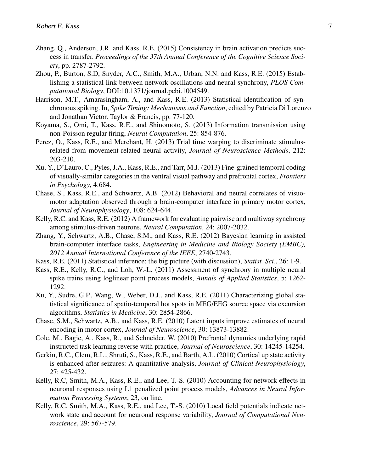- Zhang, Q., Anderson, J.R. and Kass, R.E. (2015) Consistency in brain activation predicts success in transfer. *Proceedings of the 37th Annual Conference of the Cognitive Science Society*, pp. 2787-2792.
- Zhou, P., Burton, S.D, Snyder, A.C., Smith, M.A., Urban, N.N. and Kass, R.E. (2015) Establishing a statistical link between network oscillations and neural synchrony, *PLOS Computational Biology*, DOI:10.1371/journal.pcbi.1004549.
- Harrison, M.T., Amarasingham, A., and Kass, R.E. (2013) Statistical identification of synchronous spiking. In, *Spike Timing: Mechanisms and Function*, edited by Patricia Di Lorenzo and Jonathan Victor. Taylor & Francis, pp. 77-120.
- Koyama, S., Omi, T., Kass, R.E., and Shinomoto, S. (2013) Information transmission using non-Poisson regular firing, *Neural Computation*, 25: 854-876.
- Perez, O., Kass, R.E., and Merchant, H. (2013) Trial time warping to discriminate stimulusrelated from movement-related neural activity, *Journal of Neuroscience Methods*, 212: 203-210.
- Xu, Y., D'Lauro, C., Pyles, J.A., Kass, R.E., and Tarr, M.J. (2013) Fine-grained temporal coding of visually-similar categories in the ventral visual pathway and prefrontal cortex, *Frontiers in Psychology*, 4:684.
- Chase, S., Kass, R.E., and Schwartz, A.B. (2012) Behavioral and neural correlates of visuomotor adaptation observed through a brain-computer interface in primary motor cortex, *Journal of Neurophysiology*, 108: 624-644.
- Kelly, R.C. and Kass, R.E. (2012) A framework for evaluating pairwise and multiway synchrony among stimulus-driven neurons, *Neural Computation*, 24: 2007-2032.
- Zhang, Y., Schwartz, A.B., Chase, S.M., and Kass, R.E. (2012) Bayesian learning in assisted brain-computer interface tasks, *Engineering in Medicine and Biology Society (EMBC), 2012 Annual International Conference of the IEEE*, 2740-2743.
- Kass, R.E. (2011) Statistical inference: the big picture (with discussion), *Statist. Sci.*, 26: 1-9.
- Kass, R.E., Kelly, R.C., and Loh, W.-L. (2011) Assessment of synchrony in multiple neural spike trains using loglinear point process models, *Annals of Applied Statistics*, 5: 1262- 1292.
- Xu, Y., Sudre, G.P., Wang, W., Weber, D.J., and Kass, R.E. (2011) Characterizing global statistical significance of spatio-temporal hot spots in MEG/EEG source space via excursion algorithms, *Statistics in Medicine*, 30: 2854-2866.
- Chase, S.M., Schwartz, A.B., and Kass, R.E. (2010) Latent inputs improve estimates of neural encoding in motor cortex, *Journal of Neuroscience*, 30: 13873-13882.
- Cole, M., Bagic, A., Kass, R., and Schneider, W. (2010) Prefrontal dynamics underlying rapid instructed task learning reverse with practice, *Journal of Neuroscience*, 30: 14245-14254.
- Gerkin, R.C., Clem, R.L., Shruti, S., Kass, R.E., and Barth, A.L. (2010) Cortical up state activity is enhanced after seizures: A quantitative analysis, *Journal of Clinical Neurophysiology*, 27: 425-432.
- Kelly, R.C, Smith, M.A., Kass, R.E., and Lee, T.-S. (2010) Accounting for network effects in neuronal responses using L1 penalized point process models, *Advances in Neural Information Processing Systems*, 23, on line.
- Kelly, R.C, Smith, M.A., Kass, R.E., and Lee, T.-S. (2010) Local field potentials indicate network state and account for neuronal response variability, *Journal of Computational Neuroscience*, 29: 567-579.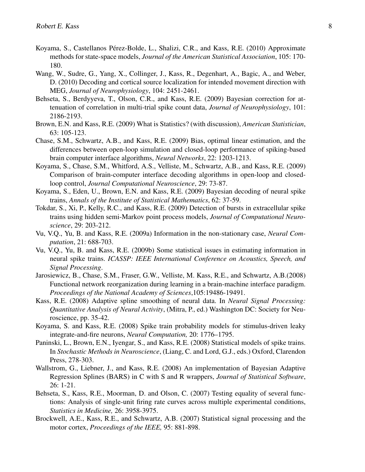- Koyama, S., Castellanos Pérez-Bolde, L., Shalizi, C.R., and Kass, R.E. (2010) Approximate methods for state-space models, *Journal of the American Statistical Association*, 105: 170- 180.
- Wang, W., Sudre, G., Yang, X., Collinger, J., Kass, R., Degenhart, A., Bagic, A., and Weber, D. (2010) Decoding and cortical source localization for intended movement direction with MEG, *Journal of Neurophysiology*, 104: 2451-2461.
- Behseta, S., Berdyyeva, T., Olson, C.R., and Kass, R.E. (2009) Bayesian correction for attenuation of correlation in multi-trial spike count data, *Journal of Neurophysiology*, 101: 2186-2193.
- Brown, E.N. and Kass, R.E. (2009) What is Statistics? (with discussion), *American Statistician*, 63: 105-123.
- Chase, S.M., Schwartz, A.B., and Kass, R.E. (2009) Bias, optimal linear estimation, and the differences between open-loop simulation and closed-loop performance of spiking-based brain computer interface algorithms, *Neural Networks*, 22: 1203-1213.
- Koyama, S., Chase, S.M., Whitford, A.S., Velliste, M., Schwartz, A.B., and Kass, R.E. (2009) Comparison of brain-computer interface decoding algorithms in open-loop and closedloop control, *Journal Computational Neuroscience*, 29: 73-87.
- Koyama, S., Eden, U., Brown, E.N. and Kass, R.E. (2009) Bayesian decoding of neural spike trains, *Annals of the Institute of Statistical Mathematics*, 62: 37-59.
- Tokdar, S., Xi, P., Kelly, R.C., and Kass, R.E. (2009) Detection of bursts in extracellular spike trains using hidden semi-Markov point process models, *Journal of Computational Neuroscience*, 29: 203-212.
- Vu, V.Q., Yu, B. and Kass, R.E. (2009a) Information in the non-stationary case, *Neural Computation*, 21: 688-703.
- Vu, V.Q., Yu, B. and Kass, R.E. (2009b) Some statistical issues in estimating information in neural spike trains. *ICASSP: IEEE International Conference on Acoustics, Speech, and Signal Processing*.
- Jarosiewicz, B., Chase, S.M., Fraser, G.W., Velliste, M. Kass, R.E., and Schwartz, A.B.(2008) Functional network reorganization during learning in a brain-machine interface paradigm. *Proceedings of the National Academy of Sciences*,105:19486-19491.
- Kass, R.E. (2008) Adaptive spline smoothing of neural data. In *Neural Signal Processing: Quantitative Analysis of Neural Activity*, (Mitra, P., ed.) Washington DC: Society for Neuroscience, pp. 35-42.
- Koyama, S. and Kass, R.E. (2008) Spike train probability models for stimulus-driven leaky integrate-and-fire neurons, *Neural Computation,* 20: 1776–1795.
- Paninski, L., Brown, E.N., Iyengar, S., and Kass, R.E. (2008) Statistical models of spike trains. In *Stochastic Methods in Neuroscience*, (Liang, C. and Lord, G.J., eds.) Oxford, Clarendon Press, 278-303.
- Wallstrom, G., Liebner, J., and Kass, R.E. (2008) An implementation of Bayesian Adaptive Regression Splines (BARS) in C with S and R wrappers, *Journal of Statistical Software*, 26: 1-21.
- Behseta, S., Kass, R.E., Moorman, D. and Olson, C. (2007) Testing equality of several functions: Analysis of single-unit firing rate curves across multiple experimental conditions, *Statistics in Medicine,* 26: 3958-3975.
- Brockwell, A.E., Kass, R.E., and Schwartz, A.B. (2007) Statistical signal processing and the motor cortex, *Proceedings of the IEEE,* 95: 881-898.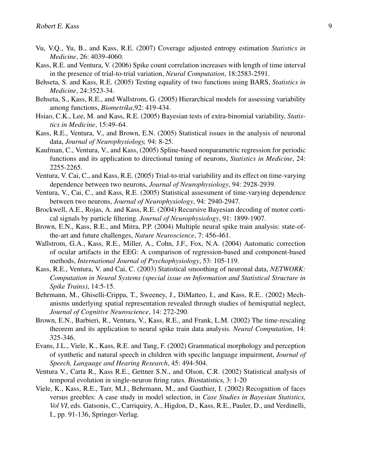- Vu, V.Q., Yu, B., and Kass, R.E. (2007) Coverage adjusted entropy estimation *Statistics in Medicine*, 26: 4039-4060.
- Kass, R.E. and Ventura, V. (2006) Spike count correlation increases with length of time interval in the presence of trial-to-trial variation, *Neural Computation*, 18:2583-2591.
- Behseta, S. and Kass, R.E. (2005) Testing equality of two functions using BARS, *Statistics in Medicine*, 24:3523-34.
- Behseta, S., Kass, R.E., and Wallstrom, G. (2005) Hierarchical models for assessing variability among functions, *Biometrika*,92: 419-434.
- Hsiao, C.K., Lee, M. and Kass, R.E. (2005) Bayesian tests of extra-binomial variability, *Statistics in Medicine*, 15:49–64.
- Kass, R.E., Ventura, V., and Brown, E.N. (2005) Statistical issues in the analysis of neuronal data, *Journal of Neurophysiology,* 94: 8-25.
- Kaufman, C., Ventura, V., and Kass, (2005) Spline-based nonparametric regression for periodic functions and its application to directional tuning of neurons, *Statistics in Medicine*, 24: 2255-2265.
- Ventura, V. Cai, C., and Kass, R.E. (2005) Trial-to-trial variability and its effect on time-varying dependence between two neurons, *Journal of Neurophysiology*, 94: 2928-2939.
- Ventura, V., Cai, C., and Kass, R.E. (2005) Statistical assessment of time-varying dependence between two neurons, *Journal of Neurophysiology*, 94: 2940-2947.
- Brockwell, A.E., Rojas, A. and Kass, R.E. (2004) Recursive Bayesian decoding of motor cortical signals by particle filtering. *Journal of Neurophysiology*, 91: 1899-1907.
- Brown, E.N., Kass, R.E., and Mitra, P.P. (2004) Multiple neural spike train analysis: state-ofthe-art and future challenges, *Nature Neuroscience*, 7: 456-461.
- Wallstrom, G.A., Kass, R.E., Miller, A., Cohn, J.F., Fox, N.A. (2004) Automatic correction of ocular artifacts in the EEG: A comparison of regression-based and component-based methods, *International Journal of Psychophysiology*, 53: 105-119.
- Kass, R.E., Ventura, V. and Cai, C. (2003) Statistical smoothing of neuronal data, *NETWORK: Computation in Neural Systems (special issue on Information and Statistical Structure in Spike Trains)*, 14:5-15.
- Behrmann, M., Ghiselli-Crippa, T., Sweeney, J., DiMatteo, I., and Kass, R.E.. (2002) Mechanisms underlying spatial representation revealed through studies of hemispatial neglect, *Journal of Cognitive Neuroscience*, 14: 272-290.
- Brown, E.N., Barbieri, R., Ventura, V., Kass, R.E., and Frank, L.M. (2002) The time-rescaling theorem and its application to neural spike train data analysis. *Neural Computation*, 14: 325-346.
- Evans, J.L., Viele, K., Kass, R.E. and Tang, F. (2002) Grammatical morphology and perception of synthetic and natural speech in children with specific language impairment, *Journal of Speech, Language and Hearing Research*, 45: 494-504.
- Ventura V., Carta R., Kass R.E., Gettner S.N., and Olson, C.R. (2002) Statistical analysis of temporal evolution in single-neuron firing rates. Biostatistics, 3: 1-20
- Viele, K., Kass, R.E., Tarr, M.J., Behrmann, M., and Gauthier, I. (2002) Recognition of faces versus greebles: A case study in model selection, in *Case Studies in Bayesian Statistics, Vol VI*, eds. Gatsonis, C., Carriquiry, A., Higdon, D., Kass, R.E., Pauler, D., and Verdinelli, I., pp. 91-136, Springer-Verlag.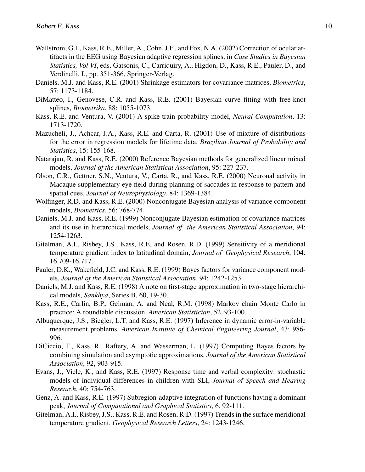- Wallstrom, G.L, Kass, R.E., Miller, A., Cohn, J.F., and Fox, N.A. (2002) Correction of ocular artifacts in the EEG using Bayesian adaptive regression splines, in *Case Studies in Bayesian Statistics, Vol VI*, eds. Gatsonis, C., Carriquiry, A., Higdon, D., Kass, R.E., Pauler, D., and Verdinelli, I., pp. 351-366, Springer-Verlag.
- Daniels, M.J. and Kass, R.E. (2001) Shrinkage estimators for covariance matrices, *Biometrics*, 57: 1173-1184.
- DiMatteo, I., Genovese, C.R. and Kass, R.E. (2001) Bayesian curve fitting with free-knot splines, *Biometrika*, 88: 1055-1073.
- Kass, R.E. and Ventura, V. (2001) A spike train probability model, *Neural Computation*, 13: 1713-1720.
- Mazucheli, J., Achcar, J.A., Kass, R.E. and Carta, R. (2001) Use of mixture of distributions for the error in regression models for lifetime data, *Brazilian Journal of Probability and Statistics*, 15: 155-168.
- Natarajan, R. and Kass, R.E. (2000) Reference Bayesian methods for generalized linear mixed models, *Journal of the American Statistical Association*, 95: 227-237.
- Olson, C.R., Gettner, S.N., Ventura, V., Carta, R., and Kass, R.E. (2000) Neuronal activity in Macaque supplementary eye field during planning of saccades in response to pattern and spatial cues, *Journal of Neurophysiology*, 84: 1369-1384.
- Wolfinger, R.D. and Kass, R.E. (2000) Nonconjugate Bayesian analysis of variance component models, *Biometrics*, 56: 768-774.
- Daniels, M.J. and Kass, R.E. (1999) Nonconjugate Bayesian estimation of covariance matrices and its use in hierarchical models, *Journal of the American Statistical Association*, 94: 1254-1263.
- Gitelman, A.I., Risbey, J.S., Kass, R.E. and Rosen, R.D. (1999) Sensitivity of a meridional temperature gradient index to latitudinal domain, *Journal of Geophysical Research*, 104: 16,709-16,717.
- Pauler, D.K., Wakefield, J.C. and Kass, R.E. (1999) Bayes factors for variance component models, *Journal of the American Statistical Association*, 94: 1242-1253.
- Daniels, M.J. and Kass, R.E. (1998) A note on first-stage approximation in two-stage hierarchical models, *Sankhya*, Series B, 60, 19-30.
- Kass, R.E., Carlin, B.P., Gelman, A. and Neal, R.M. (1998) Markov chain Monte Carlo in practice: A roundtable discussion, *American Statistician*, 52, 93-100.
- Albuquerque, J.S., Biegler, L.T. and Kass, R.E. (1997) Inference in dynamic error-in-variable measurement problems, *American Institute of Chemical Engineering Journal*, 43: 986- 996.
- DiCiccio, T., Kass, R., Raftery, A. and Wasserman, L. (1997) Computing Bayes factors by combining simulation and asymptotic approximations, *Journal of the American Statistical Association*, 92, 903-915.
- Evans, J., Viele, K., and Kass, R.E. (1997) Response time and verbal complexity: stochastic models of individual differences in children with SLI, *Journal of Speech and Hearing Research*, 40: 754-763.
- Genz, A. and Kass, R.E. (1997) Subregion-adaptive integration of functions having a dominant peak, *Journal of Computational and Graphical Statistics*, 6, 92-111.
- Gitelman, A.I., Risbey, J.S., Kass, R.E. and Rosen, R.D. (1997) Trends in the surface meridional temperature gradient, *Geophysical Research Letters*, 24: 1243-1246.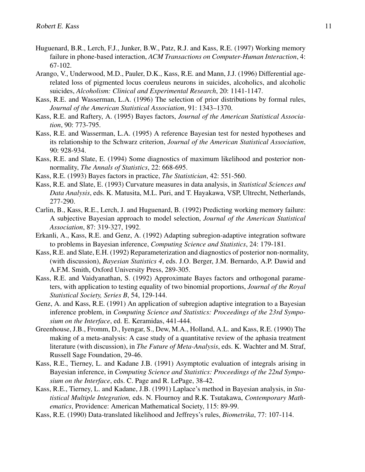- Huguenard, B.R., Lerch, F.J., Junker, B.W., Patz, R.J. and Kass, R.E. (1997) Working memory failure in phone-based interaction, *ACM Transactions on Computer-Human Interaction*, 4: 67-102.
- Arango, V., Underwood, M.D., Pauler, D.K., Kass, R.E. and Mann, J.J. (1996) Differential agerelated loss of pigmented locus coeruleus neurons in suicides, alcoholics, and alcoholic suicides, *Alcoholism: Clinical and Experimental Research*, 20: 1141-1147.
- Kass, R.E. and Wasserman, L.A. (1996) The selection of prior distributions by formal rules, *Journal of the American Statistical Association*, 91: 1343–1370.
- Kass, R.E. and Raftery, A. (1995) Bayes factors, *Journal of the American Statistical Association*, 90: 773-795.
- Kass, R.E. and Wasserman, L.A. (1995) A reference Bayesian test for nested hypotheses and its relationship to the Schwarz criterion, *Journal of the American Statistical Association*, 90: 928-934.
- Kass, R.E. and Slate, E. (1994) Some diagnostics of maximum likelihood and posterior nonnormality, *The Annals of Statistics*, 22: 668-695.
- Kass, R.E. (1993) Bayes factors in practice, *The Statistician*, 42: 551-560.
- Kass, R.E. and Slate, E. (1993) Curvature measures in data analysis, in *Statistical Sciences and Data Analysis*, eds. K. Matusita, M.L. Puri, and T. Hayakawa, VSP, Ultrecht, Netherlands, 277-290.
- Carlin, B., Kass, R.E., Lerch, J. and Huguenard, B. (1992) Predicting working memory failure: A subjective Bayesian approach to model selection, *Journal of the American Statistical Association*, 87: 319-327, 1992.
- Erkanli, A., Kass, R.E. and Genz, A. (1992) Adapting subregion-adaptive integration software to problems in Bayesian inference, *Computing Science and Statistics*, 24: 179-181.
- Kass, R.E. and Slate, E.H. (1992) Reparameterization and diagnostics of posterior non-normality, (with discussion), *Bayesian Statistics 4*, eds. J.O. Berger, J.M. Bernardo, A.P. Dawid and A.F.M. Smith, Oxford University Press, 289-305.
- Kass, R.E. and Vaidyanathan, S. (1992) Approximate Bayes factors and orthogonal parameters, with application to testing equality of two binomial proportions, *Journal of the Royal Statistical Society, Series B*, 54, 129-144.
- Genz, A. and Kass, R.E. (1991) An application of subregion adaptive integration to a Bayesian inference problem, in *Computing Science and Statistics: Proceedings of the 23rd Symposium on the Interface*, ed. E. Keramidas, 441-444.
- Greenhouse, J.B., Fromm, D., Iyengar, S., Dew, M.A., Holland, A.L. and Kass, R.E. (1990) The making of a meta-analysis: A case study of a quantitative review of the aphasia treatment literature (with discussion), in *The Future of Meta-Analysis*, eds. K. Wachter and M. Straf, Russell Sage Foundation, 29-46.
- Kass, R.E., Tierney, L. and Kadane J.B. (1991) Asymptotic evaluation of integrals arising in Bayesian inference, in *Computing Science and Statistics: Proceedings of the 22nd Symposium on the Interface*, eds. C. Page and R. LePage, 38-42.
- Kass, R.E., Tierney, L. and Kadane, J.B. (1991) Laplace's method in Bayesian analysis, in *Statistical Multiple Integration,* eds. N. Flournoy and R.K. Tsutakawa, *Contemporary Mathematics*, Providence: American Mathematical Society, 115: 89-99.
- Kass, R.E. (1990) Data-translated likelihood and Jeffreys's rules, *Biometrika*, 77: 107-114.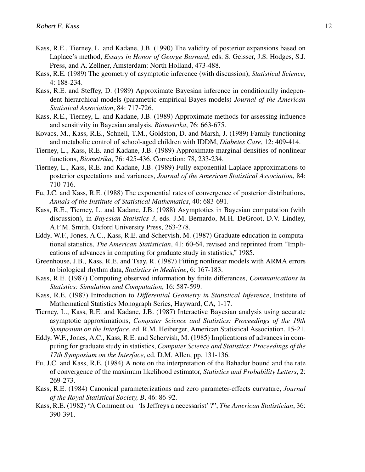- Kass, R.E., Tierney, L. and Kadane, J.B. (1990) The validity of posterior expansions based on Laplace's method, *Essays in Honor of George Barnard*, eds. S. Geisser, J.S. Hodges, S.J. Press, and A. Zellner, Amsterdam: North Holland, 473-488.
- Kass, R.E. (1989) The geometry of asymptotic inference (with discussion), *Statistical Science*, 4: 188-234.
- Kass, R.E. and Steffey, D. (1989) Approximate Bayesian inference in conditionally independent hierarchical models (parametric empirical Bayes models) *Journal of the American Statistical Association*, 84: 717-726.
- Kass, R.E., Tierney, L. and Kadane, J.B. (1989) Approximate methods for assessing influence and sensitivity in Bayesian analysis, *Biometrika*, 76: 663-675.
- Kovacs, M., Kass, R.E., Schnell, T.M., Goldston, D. and Marsh, J. (1989) Family functioning and metabolic control of school-aged children with IDDM, *Diabetes Care*, 12: 409-414.
- Tierney, L., Kass, R.E. and Kadane, J.B. (1989) Approximate marginal densities of nonlinear functions, *Biometrika*, 76: 425-436. Correction: 78, 233-234.
- Tierney, L., Kass, R.E. and Kadane, J.B. (1989) Fully exponential Laplace approximations to posterior expectations and variances, *Journal of the American Statistical Association*, 84: 710-716.
- Fu, J.C. and Kass, R.E. (1988) The exponential rates of convergence of posterior distributions, *Annals of the Institute of Statistical Mathematics*, 40: 683-691.
- Kass, R.E., Tierney, L. and Kadane, J.B. (1988) Asymptotics in Bayesian computation (with discussion), in *Bayesian Statistics 3*, eds. J.M. Bernardo, M.H. DeGroot, D.V. Lindley, A.F.M. Smith, Oxford University Press, 263-278.
- Eddy, W.F., Jones, A.C., Kass, R.E. and Schervish, M. (1987) Graduate education in computational statistics, *The American Statistician*, 41: 60-64, revised and reprinted from "Implications of advances in computing for graduate study in statistics," 1985.
- Greenhouse, J.B., Kass, R.E. and Tsay, R. (1987) Fitting nonlinear models with ARMA errors to biological rhythm data, *Statistics in Medicine*, 6: 167-183.
- Kass, R.E. (1987) Computing observed information by finite differences, *Communications in Statistics: Simulation and Computation*, 16: 587-599.
- Kass, R.E. (1987) Introduction to *Differential Geometry in Statistical Inference*, Institute of Mathematical Statistics Monograph Series, Hayward, CA, 1-17.
- Tierney, L., Kass, R.E. and Kadane, J.B. (1987) Interactive Bayesian analysis using accurate asymptotic approximations, *Computer Science and Statistics: Proceedings of the 19th Symposium on the Interface*, ed. R.M. Heiberger, American Statistical Association, 15-21.
- Eddy, W.F., Jones, A.C., Kass, R.E. and Schervish, M. (1985) Implications of advances in computing for graduate study in statistics, *Computer Science and Statistics: Proceedings of the 17th Symposium on the Interface*, ed. D.M. Allen, pp. 131-136.
- Fu, J.C. and Kass, R.E. (1984) A note on the interpretation of the Bahadur bound and the rate of convergence of the maximum likelihood estimator, *Statistics and Probability Letters*, 2: 269-273.
- Kass, R.E. (1984) Canonical parameterizations and zero parameter-effects curvature, *Journal of the Royal Statistical Society, B*, 46: 86-92.
- Kass, R.E. (1982) "A Comment on 'Is Jeffreys a necessarist' ?", *The American Statistician*, 36: 390-391.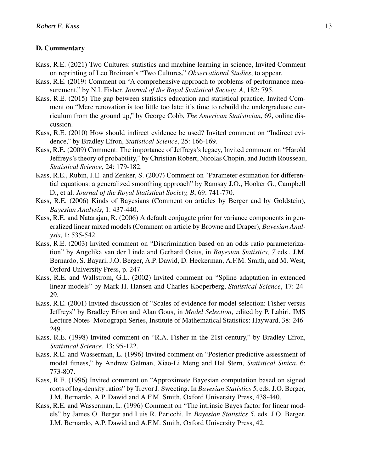#### D. Commentary

- Kass, R.E. (2021) Two Cultures: statistics and machine learning in science, Invited Comment on reprinting of Leo Breiman's "Two Cultures," *Observational Studies*, to appear.
- Kass, R.E. (2019) Comment on "A comprehensive approach to problems of performance measurement," by N.I. Fisher. *Journal of the Royal Statistical Society, A*, 182: 795.
- Kass, R.E. (2015) The gap between statistics education and statistical practice, Invited Comment on "Mere renovation is too little too late: it's time to rebuild the undergraduate curriculum from the ground up," by George Cobb, *The American Statistician*, 69, online discussion.
- Kass, R.E. (2010) How should indirect evidence be used? Invited comment on "Indirect evidence," by Bradley Efron, *Statistical Science*, 25: 166-169.
- Kass, R.E. (2009) Comment: The importance of Jeffreys's legacy, Invited comment on "Harold Jeffreys's theory of probability," by Christian Robert, Nicolas Chopin, and Judith Rousseau, *Statistical Science*, 24: 179-182.
- Kass, R.E., Rubin, J.E. and Zenker, S. (2007) Comment on "Parameter estimation for differential equations: a generalized smoothing approach" by Ramsay J.O., Hooker G., Campbell D., et al. *Journal of the Royal Statistical Society, B*, 69: 741-770.
- Kass, R.E. (2006) Kinds of Bayesians (Comment on articles by Berger and by Goldstein), *Bayesian Analysis*, 1: 437-440.
- Kass, R.E. and Natarajan, R. (2006) A default conjugate prior for variance components in generalized linear mixed models (Comment on article by Browne and Draper), *Bayesian Analysis*, 1: 535-542
- Kass, R.E. (2003) Invited comment on "Discrimination based on an odds ratio parameterization" by Angelika van der Linde and Gerhard Osius, in *Bayesian Statistics, 7* eds., J.M. Bernardo, S. Bayari, J.O. Berger, A.P. Dawid, D. Heckerman, A.F.M. Smith, and M. West, Oxford University Press, p. 247.
- Kass, R.E. and Wallstrom, G.L. (2002) Invited comment on "Spline adaptation in extended linear models" by Mark H. Hansen and Charles Kooperberg, *Statistical Science*, 17: 24- 29.
- Kass, R.E. (2001) Invited discussion of "Scales of evidence for model selection: Fisher versus Jeffreys" by Bradley Efron and Alan Gous, in *Model Selection*, edited by P. Lahiri, IMS Lecture Notes–Monograph Series, Institute of Mathematical Statistics: Hayward, 38: 246- 249.
- Kass, R.E. (1998) Invited comment on "R.A. Fisher in the 21st century," by Bradley Efron, *Statistical Science*, 13: 95-122.
- Kass, R.E. and Wasserman, L. (1996) Invited comment on "Posterior predictive assessment of model fitness," by Andrew Gelman, Xiao-Li Meng and Hal Stern, *Statistical Sinica*, 6: 773-807.
- Kass, R.E. (1996) Invited comment on "Approximate Bayesian computation based on signed roots of log-density ratios" by Trevor J. Sweeting. In *Bayesian Statistics 5*, eds. J.O. Berger, J.M. Bernardo, A.P. Dawid and A.F.M. Smith, Oxford University Press, 438-440.
- Kass, R.E. and Wasserman, L. (1996) Comment on "The intrinsic Bayes factor for linear models" by James O. Berger and Luis R. Pericchi. In *Bayesian Statistics 5*, eds. J.O. Berger, J.M. Bernardo, A.P. Dawid and A.F.M. Smith, Oxford University Press, 42.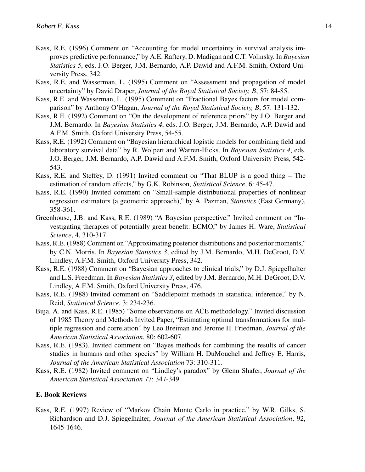- Kass, R.E. (1996) Comment on "Accounting for model uncertainty in survival analysis improves predictive performance," by A.E. Raftery, D. Madigan and C.T. Volinsky. In *Bayesian Statistics 5*, eds. J.O. Berger, J.M. Bernardo, A.P. Dawid and A.F.M. Smith, Oxford University Press, 342.
- Kass, R.E. and Wasserman, L. (1995) Comment on "Assessment and propagation of model uncertainty" by David Draper, *Journal of the Royal Statistical Society, B*, 57: 84-85.
- Kass, R.E. and Wasserman, L. (1995) Comment on "Fractional Bayes factors for model comparison" by Anthony O'Hagan, *Journal of the Royal Statistical Society, B*, 57: 131-132.
- Kass, R.E. (1992) Comment on "On the development of reference priors" by J.O. Berger and J.M. Bernardo. In *Bayesian Statistics 4*, eds. J.O. Berger, J.M. Bernardo, A.P. Dawid and A.F.M. Smith, Oxford University Press, 54-55.
- Kass, R.E. (1992) Comment on "Bayesian hierarchical logistic models for combining field and laboratory survival data" by R. Wolpert and Warren-Hicks. In *Bayesian Statistics 4*, eds. J.O. Berger, J.M. Bernardo, A.P. Dawid and A.F.M. Smith, Oxford University Press, 542- 543.
- Kass, R.E. and Steffey, D. (1991) Invited comment on "That BLUP is a good thing The estimation of random effects," by G.K. Robinson, *Statistical Science*, 6: 45-47.
- Kass, R.E. (1990) Invited comment on "Small-sample distributional properties of nonlinear regression estimators (a geometric approach)," by A. Pazman, *Statistics* (East Germany), 358-361.
- Greenhouse, J.B. and Kass, R.E. (1989) "A Bayesian perspective." Invited comment on "Investigating therapies of potentially great benefit: ECMO," by James H. Ware, *Statistical Science*, 4, 310-317.
- Kass, R.E. (1988) Comment on "Approximating posterior distributions and posterior moments," by C.N. Morris. In *Bayesian Statistics 3*, edited by J.M. Bernardo, M.H. DeGroot, D.V. Lindley, A.F.M. Smith, Oxford University Press, 342.
- Kass, R.E. (1988) Comment on "Bayesian approaches to clinical trials," by D.J. Spiegelhalter and L.S. Freedman. In *Bayesian Statistics 3*, edited by J.M. Bernardo, M.H. DeGroot, D.V. Lindley, A.F.M. Smith, Oxford University Press, 476.
- Kass, R.E. (1988) Invited comment on "Saddlepoint methods in statistical inference," by N. Reid, *Statistical Science*, 3: 234-236.
- Buja, A. and Kass, R.E. (1985) "Some observations on ACE methodology." Invited discussion of 1985 Theory and Methods Invited Paper, "Estimating optimal transformations for multiple regression and correlation" by Leo Breiman and Jerome H. Friedman, *Journal of the American Statistical Association*, 80: 602-607.
- Kass, R.E. (1983). Invited comment on "Bayes methods for combining the results of cancer studies in humans and other species" by William H. DuMouchel and Jeffrey E. Harris, *Journal of the American Statistical Association* 73: 310-311.
- Kass, R.E. (1982) Invited comment on "Lindley's paradox" by Glenn Shafer, *Journal of the American Statistical Association* 77: 347-349.

## E. Book Reviews

Kass, R.E. (1997) Review of "Markov Chain Monte Carlo in practice," by W.R. Gilks, S. Richardson and D.J. Spiegelhalter, *Journal of the American Statistical Association*, 92, 1645-1646.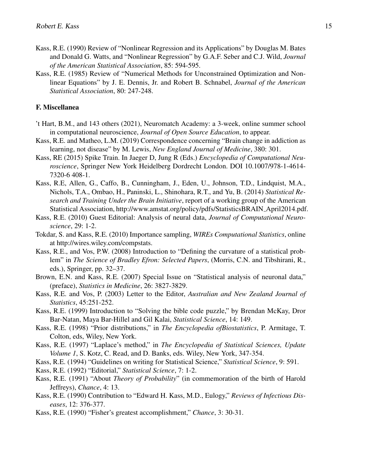- Kass, R.E. (1990) Review of "Nonlinear Regression and its Applications" by Douglas M. Bates and Donald G. Watts, and "Nonlinear Regression" by G.A.F. Seber and C.J. Wild, *Journal of the American Statistical Association*, 85: 594-595.
- Kass, R.E. (1985) Review of "Numerical Methods for Unconstrained Optimization and Nonlinear Equations" by J. E. Dennis, Jr. and Robert B. Schnabel, *Journal of the American Statistical Association*, 80: 247-248.

#### F. Miscellanea

- 't Hart, B.M., and 143 others (2021), Neuromatch Academy: a 3-week, online summer school in computational neuroscience, *Journal of Open Source Education*, to appear.
- Kass, R.E. and Matheo, L.M. (2019) Correspondence concerning "Brain change in addiction as learning, not disease" by M. Lewis, *New England Journal of Medicine*, 380: 301.
- Kass, RE (2015) Spike Train. In Jaeger D, Jung R (Eds.) *Encyclopedia of Computational Neuroscience*, Springer New York Heidelberg Dordrecht London. DOI 10.1007/978-1-4614- 7320-6 408-1.
- Kass, R.E, Allen, G., Caffo, B., Cunningham, J., Eden, U., Johnson, T.D., Lindquist, M.A., Nichols, T.A., Ombao, H., Paninski, L., Shinohara, R.T., and Yu, B. (2014) *Statistical Research and Training Under the Brain Initiative*, report of a working group of the American Statistical Association, http://www.amstat.org/policy/pdfs/StatisticsBRAIN April2014.pdf.
- Kass, R.E. (2010) Guest Editorial: Analysis of neural data, *Journal of Computational Neuroscience*, 29: 1-2.
- Tokdar, S. and Kass, R.E. (2010) Importance sampling, *WIREs Computational Statistics*, online at http://wires.wiley.com/compstats.
- Kass, R.E., and Vos, P.W. (2008) Introduction to "Defining the curvature of a statistical problem" in *The Science of Bradley Efron: Selected Papers*, (Morris, C.N. and Tibshirani, R., eds.), Springer, pp. 32–37.
- Brown, E.N. and Kass, R.E. (2007) Special Issue on "Statistical analysis of neuronal data," (preface), *Statistics in Medicine*, 26: 3827-3829.
- Kass, R.E. and Vos, P. (2003) Letter to the Editor, *Australian and New Zealand Journal of Statistics*, 45:251-252.
- Kass, R.E. (1999) Introduction to "Solving the bible code puzzle," by Brendan McKay, Dror Bar-Natan, Maya Bar-Hillel and Gil Kalai, *Statistical Science*, 14: 149.
- Kass, R.E. (1998) "Prior distributions," in *The Encyclopedia ofBiostatistics*, P. Armitage, T. Colton, eds, Wiley, New York.
- Kass, R.E. (1997) "Laplace's method," in *The Encyclopedia of Statistical Sciences, Update Volume 1*, S. Kotz, C. Read, and D. Banks, eds. Wiley, New York, 347-354.
- Kass, R.E. (1994) "Guidelines on writing for Statistical Science," *Statistical Science*, 9: 591.
- Kass, R.E. (1992) "Editorial," *Statistical Science*, 7: 1-2.
- Kass, R.E. (1991) "About *Theory of Probability*" (in commemoration of the birth of Harold Jeffreys), *Chance*, 4: 13.
- Kass, R.E. (1990) Contribution to "Edward H. Kass, M.D., Eulogy," *Reviews of Infectious Diseases*, 12: 376-377.
- Kass, R.E. (1990) "Fisher's greatest accomplishment," *Chance*, 3: 30-31.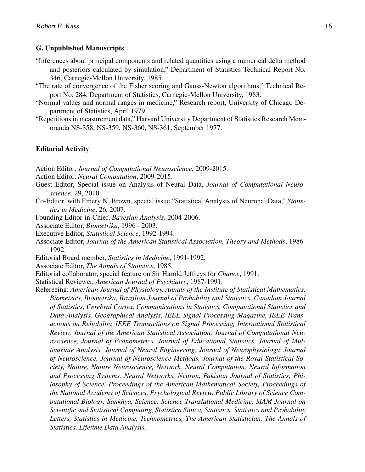#### G. Unpublished Manuscripts

- "Inferences about principal components and related quantities using a numerical delta method and posteriors calculated by simulation," Department of Statistics Technical Report No. 346, Carnegie-Mellon University, 1985.
- "The rate of convergence of the Fisher scoring and Gauss-Newton algorithms," Technical Report No. 284, Department of Statistics, Carnegie-Mellon University, 1983.
- "Normal values and normal ranges in medicine," Research report, University of Chicago Department of Statistics, April 1979.
- "Repetitions in measurement data," Harvard University Department of Statistics Research Memoranda NS-358, NS-359, NS-360, NS-361, September 1977.

#### Editorial Activity

- Action Editor, *Journal of Computational Neuroscience*, 2009-2015.
- Action Editor, *Neural Computation*, 2009-2015.
- Guest Editor, Special issue on Analysis of Neural Data, *Journal of Computational Neuroscience*, 29, 2010.
- Co-Editor, with Emery N. Brown, special issue "Statistical Analysis of Neuronal Data," *Statistics in Medicine*, 26, 2007.
- Founding Editor-in-Chief, *Bayesian Analysis*, 2004-2006.
- Associate Editor, *Biometrika*, 1996 2003.
- Executive Editor, *Statistical Science*, 1992-1994.
- Associate Editor, *Journal of the American Statistical Association, Theory and Methods*, 1986- 1992.
- Editorial Board member, *Statistics in Medicine*, 1991-1992.
- Associate Editor, *The Annals of Statistics*, 1985.
- Editorial collaborator, special feature on Sir Harold Jeffreys for *Chance*, 1991.
- Statistical Reviewer, *American Journal of Psychiatry*, 1987-1991.
- Refereeing: *American Journal of Physiology, Annals of the Institute of Statistical Mathematics, Biometrics, Biometrika, Brazilian Journal of Probability and Statistics, Canadian Journal of Statistics, Cerebral Cortex, Communications in Statistics, Computational Statistics and Data Analysis, Geographical Analysis, IEEE Signal Processing Magazine, IEEE Transactions on Reliability, IEEE Transactions on Signal Processing, International Statistical Review, Journal of the American Statistical Association, Journal of Computational Neuroscience, Journal of Econometrics, Journal of Educational Statistics, Journal of Multivariate Analysis, Journal of Neural Engineering, Journal of Neurophysiology, Journal of Neuroscience, Journal of Neuroscience Methods, Journal of the Royal Statistical Society, Nature, Nature Neuroscience, Network, Neural Computation, Neural Information and Processing Systems, Neural Networks, Neuron, Pakistan Journal of Statistics, Philosophy of Science, Proceedings of the American Mathematical Society, Proceedings of the National Academy of Sciences, Psychological Review, Public Library of Science Computational Biology, Sankhya, Science, Science Translational Medicine, SIAM Journal on Scientific and Statistical Computing, Statistica Sinica, Statistics, Statistics and Probability Letters, Statistics in Medicine, Technometrics, The American Statistician, The Annals of Statistics, Lifetime Data Analysis*.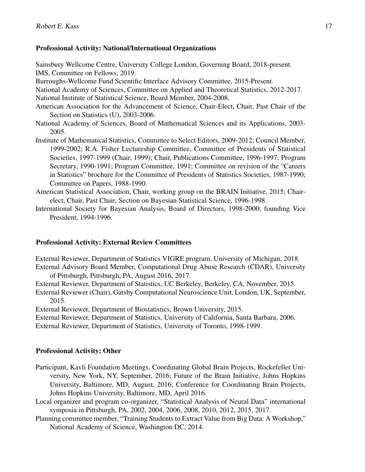## Professional Activity: National/International Organizations

Sainsbury Wellcome Centre, University College London, Governing Board, 2018-present. IMS, Committee on Fellows, 2019.

Burroughs-Wellcome Fund Scientific Interface Advisory Committee, 2015-Present.

National Academy of Sciences, Committee on Applied and Theoretical Statistics, 2012-2017.

National Institute of Statistical Science, Board Member, 2004-2008.

- American Association for the Advancement of Science, Chair-Elect, Chair, Past Chair of the Section on Statistics (U), 2003-2006.
- National Academy of Sciences, Board of Mathematical Sciences and its Applications, 2003- 2005.
- Institute of Mathematical Statistics, Committee to Select Editors, 2009-2012; Council Member, 1999-2002; R.A. Fisher Lectureship Committee, Committee of Presidents of Statistical Societies, 1997-1999 (Chair, 1999); Chair, Publications Committee, 1996-1997; Program Secretary, 1990-1991; Program Committee, 1991; Committee on revision of the "Careers in Statistics" brochure for the Committee of Presidents of Statistics Societies, 1987-1990; Committee on Papers, 1988-1990.
- American Statistical Association, Chair, working group on the BRAIN Initiative, 2015; Chairelect, Chair, Past Chair, Section on Bayesian Statistical Science, 1996-1998.
- International Society for Bayesian Analysis, Board of Directors, 1998-2000; founding Vice President, 1994-1996.

## Professional Activity: External Review Committees

External Reviewer, Department of Statistics VIGRE program, University of Michigan, 2018. External Advisory Board Member, Computational Drug Abuse Research (CDAR), University of Pittsburgh, Pittsburgh, PA, August 2016, 2017.

External Reviewer, Department of Statistics, UC Berkeley, Berkeley, CA, November, 2015.

External Reviewer (Chair), Gatsby Computational Neuroscience Unit, London, UK, September, 2015.

External Reviewer, Department of Biostatistics, Brown University, 2015.

External Reviewer, Department of Statistics, University of California, Santa Barbara, 2006.

External Reviewer, Department of Statistics, University of Toronto, 1998-1999.

## Professional Activity: Other

- Participant, Kavli Foundation Meetings, Coordinating Global Brain Projects, Rockefeller University, New York, NY, September, 2016; Future of the Brain Initiative, Johns Hopkins University, Baltimore, MD, August, 2016; Conference for Coordinating Brain Projects, Johns Hopkins University, Baltimore, MD, April 2016.
- Local organizer and program co-organizer, "Statistical Analysis of Neural Data" international symposia in Pittsburgh, PA, 2002, 2004, 2006, 2008, 2010, 2012, 2015, 2017.
- Planning committee member, "Training Students to Extract Value from Big Data: A Workshop," National Academy of Science, Washington DC, 2014.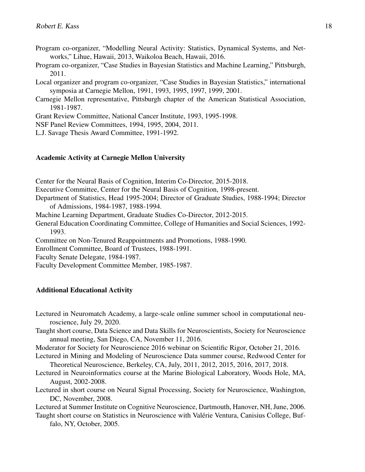- Program co-organizer, "Modelling Neural Activity: Statistics, Dynamical Systems, and Networks," Lihue, Hawaii, 2013, Waikoloa Beach, Hawaii, 2016.
- Program co-organizer, "Case Studies in Bayesian Statistics and Machine Learning," Pittsburgh, 2011.
- Local organizer and program co-organizer, "Case Studies in Bayesian Statistics," international symposia at Carnegie Mellon, 1991, 1993, 1995, 1997, 1999, 2001.
- Carnegie Mellon representative, Pittsburgh chapter of the American Statistical Association, 1981-1987.

Grant Review Committee, National Cancer Institute, 1993, 1995-1998.

NSF Panel Review Committees, 1994, 1995, 2004, 2011.

L.J. Savage Thesis Award Committee, 1991-1992.

#### Academic Activity at Carnegie Mellon University

Center for the Neural Basis of Cognition, Interim Co-Director, 2015-2018. Executive Committee, Center for the Neural Basis of Cognition, 1998-present. Department of Statistics, Head 1995-2004; Director of Graduate Studies, 1988-1994; Director of Admissions, 1984-1987, 1988-1994. Machine Learning Department, Graduate Studies Co-Director, 2012-2015. General Education Coordinating Committee, College of Humanities and Social Sciences, 1992- 1993. Committee on Non-Tenured Reappointments and Promotions, 1988-1990. Enrollment Committee, Board of Trustees, 1988-1991.

Faculty Senate Delegate, 1984-1987.

Faculty Development Committee Member, 1985-1987.

#### Additional Educational Activity

Lectured in Neuromatch Academy, a large-scale online summer school in computational neuroscience, July 29, 2020.

Taught short course, Data Science and Data Skills for Neuroscientists, Society for Neuroscience annual meeting, San Diego, CA, November 11, 2016.

Moderator for Society for Neuroscience 2016 webinar on Scientific Rigor, October 21, 2016.

- Lectured in Mining and Modeling of Neuroscience Data summer course, Redwood Center for Theoretical Neuroscience, Berkeley, CA, July, 2011, 2012, 2015, 2016, 2017, 2018.
- Lectured in Neuroinformatics course at the Marine Biological Laboratory, Woods Hole, MA, August, 2002-2008.
- Lectured in short course on Neural Signal Processing, Society for Neuroscience, Washington, DC, November, 2008.

Lectured at Summer Institute on Cognitive Neuroscience, Dartmouth, Hanover, NH, June, 2006.

Taught short course on Statistics in Neuroscience with Valérie Ventura, Canisius College, Buffalo, NY, October, 2005.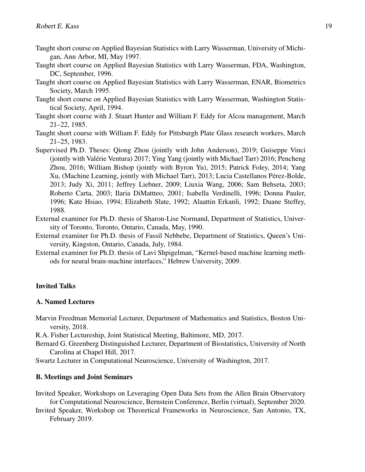- Taught short course on Applied Bayesian Statistics with Larry Wasserman, University of Michigan, Ann Arbor, MI, May 1997.
- Taught short course on Applied Bayesian Statistics with Larry Wasserman, FDA, Washington, DC, September, 1996.
- Taught short course on Applied Bayesian Statistics with Larry Wasserman, ENAR, Biometrics Society, March 1995.
- Taught short course on Applied Bayesian Statistics with Larry Wasserman, Washington Statistical Society, April, 1994.
- Taught short course with J. Stuart Hunter and William F. Eddy for Alcoa management, March 21–22, 1985.
- Taught short course with William F. Eddy for Pittsburgh Plate Glass research workers, March 21–25, 1983.
- Supervised Ph.D. Theses: Qiong Zhou (jointly with John Anderson), 2019; Guiseppe Vinci (jointly with Valérie Ventura) 2017; Ying Yang (jointly with Michael Tarr) 2016; Pencheng Zhou, 2016; William Bishop (jointly with Byron Yu), 2015; Patrick Foley, 2014; Yang Xu, (Machine Learning, jointly with Michael Tarr), 2013; Lucia Castellanos Pérez-Bolde, 2013; Judy Xi, 2011; Jeffrey Liebner, 2009; Liuxia Wang, 2006; Sam Behseta, 2003; Roberto Carta, 2003; Ilaria DiMattteo, 2001; Isabella Verdinelli, 1996; Donna Pauler, 1996; Kate Hsiao, 1994; Elizabeth Slate, 1992; Alaattin Erkanli, 1992; Duane Steffey, 1988.
- External examiner for Ph.D. thesis of Sharon-Lise Normand, Department of Statistics, University of Toronto, Toronto, Ontario, Canada, May, 1990.
- External examiner for Ph.D. thesis of Fassil Nebbebe, Department of Statistics, Queen's University, Kingston, Ontario, Canada, July, 1984.
- External examiner for Ph.D. thesis of Lavi Shpigelman, "Kernel-based machine learning methods for neural brain-machine interfaces," Hebrew University, 2009.

## Invited Talks

#### A. Named Lectures

Marvin Freedman Memorial Lecturer, Department of Mathematics and Statistics, Boston University, 2018.

R.A. Fisher Lectureship, Joint Statistical Meeting, Baltimore, MD, 2017.

- Bernard G. Greenberg Distinguished Lecturer, Department of Biostatistics, University of North Carolina at Chapel Hill, 2017.
- Swartz Lecturer in Computational Neuroscience, University of Washington, 2017.

## B. Meetings and Joint Seminars

- Invited Speaker, Workshops on Leveraging Open Data Sets from the Allen Brain Observatory for Computational Neuroscience, Bernstein Conference, Berlin (virtual), September 2020.
- Invited Speaker, Workshop on Theoretical Frameworks in Neuroscience, San Antonio, TX, February 2019.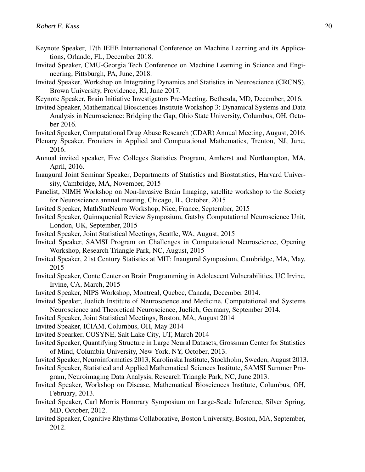- Keynote Speaker, 17th IEEE International Conference on Machine Learning and its Applications, Orlando, FL, December 2018.
- Invited Speaker, CMU-Georgia Tech Conference on Machine Learning in Science and Engineering, Pittsburgh, PA, June, 2018.

Invited Speaker, Workshop on Integrating Dynamics and Statistics in Neuroscience (CRCNS), Brown University, Providence, RI, June 2017.

Keynote Speaker, Brain Initiative Investigators Pre-Meeting, Bethesda, MD, December, 2016.

Invited Speaker, Mathematical Biosciences Institute Workshop 3: Dynamical Systems and Data Analysis in Neuroscience: Bridging the Gap, Ohio State University, Columbus, OH, October 2016.

Invited Speaker, Computational Drug Abuse Research (CDAR) Annual Meeting, August, 2016.

- Plenary Speaker, Frontiers in Applied and Computational Mathematics, Trenton, NJ, June, 2016.
- Annual invited speaker, Five Colleges Statistics Program, Amherst and Northampton, MA, April, 2016.

Inaugural Joint Seminar Speaker, Departments of Statistics and Biostatistics, Harvard University, Cambridge, MA, November, 2015

- Panelist, NIMH Workshop on Non-Invasive Brain Imaging, satellite workshop to the Society for Neuroscience annual meeting, Chicago, IL, October, 2015
- Invited Speaker, MathStatNeuro Workshop, Nice, France, September, 2015
- Invited Speaker, Quinnquenial Review Symposium, Gatsby Computational Neuroscience Unit, London, UK, September, 2015
- Invited Speaker, Joint Statistical Meetings, Seattle, WA, August, 2015
- Invited Speaker, SAMSI Program on Challenges in Computational Neuroscience, Opening Workshop, Research Triangle Park, NC, August, 2015
- Invited Speaker, 21st Century Statistics at MIT: Inaugural Symposium, Cambridge, MA, May, 2015
- Invited Speaker, Conte Center on Brain Programming in Adolescent Vulnerabilities, UC Irvine, Irvine, CA, March, 2015
- Invited Speaker, NIPS Workshop, Montreal, Quebec, Canada, December 2014.
- Invited Speaker, Juelich Institute of Neuroscience and Medicine, Computational and Systems Neuroscience and Theoretical Neuroscience, Juelich, Germany, September 2014.
- Invited Speaker, Joint Statistical Meetings, Boston, MA, August 2014
- Invited Speaker, ICIAM, Columbus, OH, May 2014
- Invited Spearker, COSYNE, Salt Lake City, UT, March 2014
- Invited Speaker, Quantifying Structure in Large Neural Datasets, Grossman Center for Statistics of Mind, Columbia University, New York, NY, October, 2013.
- Invited Speaker, Neuroinformatics 2013, Karolinska Institute, Stockholm, Sweden, August 2013.
- Invited Speaker, Statistical and Applied Mathematical Sciences Institute, SAMSI Summer Program, Neuroimaging Data Analysis, Research Triangle Park, NC, June 2013.
- Invited Speaker, Workshop on Disease, Mathematical Biosciences Institute, Columbus, OH, February, 2013.
- Invited Speaker, Carl Morris Honorary Symposium on Large-Scale Inference, Silver Spring, MD, October, 2012.
- Invited Speaker, Cognitive Rhythms Collaborative, Boston University, Boston, MA, September, 2012.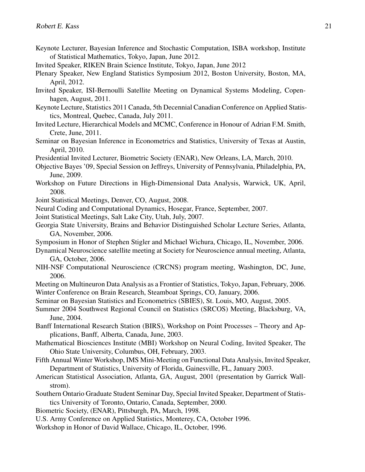- Keynote Lecturer, Bayesian Inference and Stochastic Computation, ISBA workshop, Institute of Statistical Mathematics, Tokyo, Japan, June 2012.
- Invited Speaker, RIKEN Brain Science Institute, Tokyo, Japan, June 2012
- Plenary Speaker, New England Statistics Symposium 2012, Boston University, Boston, MA, April, 2012.
- Invited Speaker, ISI-Bernoulli Satellite Meeting on Dynamical Systems Modeling, Copenhagen, August, 2011.
- Keynote Lecture, Statistics 2011 Canada, 5th Decennial Canadian Conference on Applied Statistics, Montreal, Quebec, Canada, July 2011.
- Invited Lecture, Hierarchical Models and MCMC, Conference in Honour of Adrian F.M. Smith, Crete, June, 2011.
- Seminar on Bayesian Inference in Econometrics and Statistics, University of Texas at Austin, April, 2010.
- Presidential Invited Lecturer, Biometric Society (ENAR), New Orleans, LA, March, 2010.
- Objective Bayes '09, Special Session on Jeffreys, University of Pennsylvania, Philadelphia, PA, June, 2009.
- Workshop on Future Directions in High-Dimensional Data Analysis, Warwick, UK, April, 2008.
- Joint Statistical Meetings, Denver, CO, August, 2008.
- Neural Coding and Computational Dynamics, Hosegar, France, September, 2007.
- Joint Statistical Meetings, Salt Lake City, Utah, July, 2007.
- Georgia State University, Brains and Behavior Distinguished Scholar Lecture Series, Atlanta, GA, November, 2006.
- Symposium in Honor of Stephen Stigler and Michael Wichura, Chicago, IL, November, 2006.
- Dynamical Neuroscience satellite meeting at Society for Neuroscience annual meeting, Atlanta, GA, October, 2006.
- NIH-NSF Computational Neuroscience (CRCNS) program meeting, Washington, DC, June, 2006.
- Meeting on Multineuron Data Analysis as a Frontier of Statistics, Tokyo, Japan, February, 2006. Winter Conference on Brain Research, Steamboat Springs, CO, January, 2006.
- Seminar on Bayesian Statistics and Econometrics (SBIES), St. Louis, MO, August, 2005.
- Summer 2004 Southwest Regional Council on Statistics (SRCOS) Meeting, Blacksburg, VA, June, 2004.
- Banff International Research Station (BIRS), Workshop on Point Processes Theory and Applications, Banff, Alberta, Canada, June, 2003.
- Mathematical Biosciences Institute (MBI) Workshop on Neural Coding, Invited Speaker, The Ohio State University, Columbus, OH, February, 2003.
- Fifth Annual Winter Workshop, IMS Mini-Meeting on Functional Data Analysis, Invited Speaker, Department of Statistics, University of Florida, Gainesville, FL, January 2003.
- American Statistical Association, Atlanta, GA, August, 2001 (presentation by Garrick Wallstrom).
- Southern Ontario Graduate Student Seminar Day, Special Invited Speaker, Department of Statistics University of Toronto, Ontario, Canada, September, 2000.
- Biometric Society, (ENAR), Pittsburgh, PA, March, 1998.
- U.S. Army Conference on Applied Statistics, Monterey, CA, October 1996.
- Workshop in Honor of David Wallace, Chicago, IL, October, 1996.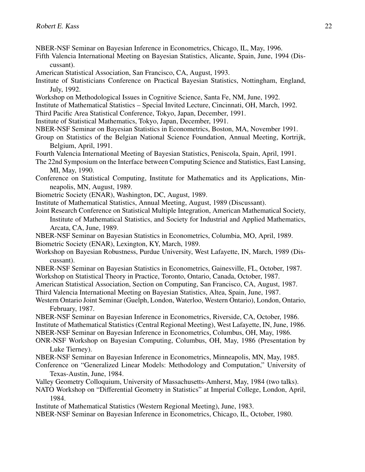- NBER-NSF Seminar on Bayesian Inference in Econometrics, Chicago, IL, May, 1996.
- Fifth Valencia International Meeting on Bayesian Statistics, Alicante, Spain, June, 1994 (Discussant).
- American Statistical Association, San Francisco, CA, August, 1993.
- Institute of Statisticians Conference on Practical Bayesian Statistics, Nottingham, England, July, 1992.
- Workshop on Methodological Issues in Cognitive Science, Santa Fe, NM, June, 1992.
- Institute of Mathematical Statistics Special Invited Lecture, Cincinnati, OH, March, 1992.
- Third Pacific Area Statistical Conference, Tokyo, Japan, December, 1991.
- Institute of Statistical Mathematics, Tokyo, Japan, December, 1991.
- NBER-NSF Seminar on Bayesian Statistics in Econometrics, Boston, MA, November 1991.
- Group on Statistics of the Belgian National Science Foundation, Annual Meeting, Kortrijk, Belgium, April, 1991.
- Fourth Valencia International Meeting of Bayesian Statistics, Peniscola, Spain, April, 1991.
- The 22nd Symposium on the Interface between Computing Science and Statistics, East Lansing, MI, May, 1990.
- Conference on Statistical Computing, Institute for Mathematics and its Applications, Minneapolis, MN, August, 1989.
- Biometric Society (ENAR), Washington, DC, August, 1989.
- Institute of Mathematical Statistics, Annual Meeting, August, 1989 (Discussant).
- Joint Research Conference on Statistical Multiple Integration, American Mathematical Society, Institute of Mathematical Statistics, and Society for Industrial and Applied Mathematics, Arcata, CA, June, 1989.
- NBER-NSF Seminar on Bayesian Statistics in Econometrics, Columbia, MO, April, 1989.
- Biometric Society (ENAR), Lexington, KY, March, 1989.
- Workshop on Bayesian Robustness, Purdue University, West Lafayette, IN, March, 1989 (Discussant).
- NBER-NSF Seminar on Bayesian Statistics in Econometrics, Gainesville, FL, October, 1987. Workshop on Statistical Theory in Practice, Toronto, Ontario, Canada, October, 1987.
- American Statistical Association, Section on Computing, San Francisco, CA, August, 1987.
- Third Valencia International Meeting on Bayesian Statistics, Altea, Spain, June, 1987.
- Western Ontario Joint Seminar (Guelph, London, Waterloo, Western Ontario), London, Ontario, February, 1987.
- NBER-NSF Seminar on Bayesian Inference in Econometrics, Riverside, CA, October, 1986. Institute of Mathematical Statistics (Central Regional Meeting), West Lafayette, IN, June, 1986. NBER-NSF Seminar on Bayesian Inference in Econometrics, Columbus, OH, May, 1986.
- ONR-NSF Workshop on Bayesian Computing, Columbus, OH, May, 1986 (Presentation by Luke Tierney).
- NBER-NSF Seminar on Bayesian Inference in Econometrics, Minneapolis, MN, May, 1985.
- Conference on "Generalized Linear Models: Methodology and Computation," University of Texas-Austin, June, 1984.
- Valley Geometry Colloquium, University of Massachusetts-Amherst, May, 1984 (two talks).
- NATO Workshop on "Differential Geometry in Statistics" at Imperial College, London, April, 1984.
- Institute of Mathematical Statistics (Western Regional Meeting), June, 1983.
- NBER-NSF Seminar on Bayesian Inference in Econometrics, Chicago, IL, October, 1980.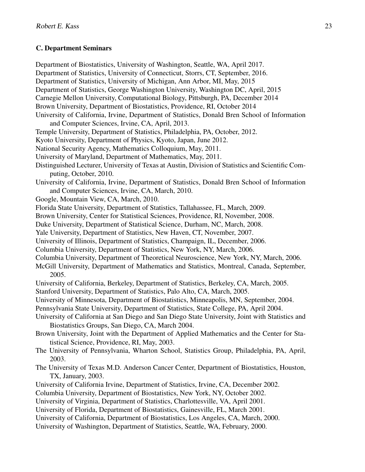## C. Department Seminars

Department of Biostatistics, University of Washington, Seattle, WA, April 2017. Department of Statistics, University of Connecticut, Storrs, CT, September, 2016. Department of Statistics, University of Michigan, Ann Arbor, MI, May, 2015 Department of Statistics, George Washington University, Washington DC, April, 2015 Carnegie Mellon University, Computational Biology, Pittsburgh, PA, December 2014 Brown University, Department of Biostatistics, Providence, RI, October 2014 University of California, Irvine, Department of Statistics, Donald Bren School of Information and Computer Sciences, Irvine, CA, April, 2013. Temple University, Department of Statistics, Philadelphia, PA, October, 2012. Kyoto University, Department of Physics, Kyoto, Japan, June 2012. National Security Agency, Mathematics Colloquium, May, 2011. University of Maryland, Department of Mathematics, May, 2011. Distinguished Lecturer, University of Texas at Austin, Division of Statistics and Scientific Computing, October, 2010. University of California, Irvine, Department of Statistics, Donald Bren School of Information and Computer Sciences, Irvine, CA, March, 2010. Google, Mountain View, CA, March, 2010. Florida State University, Department of Statistics, Tallahassee, FL, March, 2009. Brown University, Center for Statistical Sciences, Providence, RI, November, 2008. Duke University, Department of Statistical Science, Durham, NC, March, 2008. Yale University, Department of Statistics, New Haven, CT, November, 2007. University of Illinois, Department of Statistics, Champaign, IL, December, 2006. Columbia University, Department of Statistics, New York, NY, March, 2006. Columbia University, Department of Theoretical Neuroscience, New York, NY, March, 2006. McGill University, Department of Mathematics and Statistics, Montreal, Canada, September, 2005. University of California, Berkeley, Department of Statistics, Berkeley, CA, March, 2005. Stanford University, Department of Statistics, Palo Alto, CA, March, 2005. University of Minnesota, Department of Biostatistics, Minneapolis, MN, September, 2004. Pennsylvania State University, Department of Statistics, State College, PA, April 2004. University of California at San Diego and San Diego State University, Joint with Statistics and Biostatistics Groups, San Diego, CA, March 2004. Brown University, Joint with the Department of Applied Mathematics and the Center for Statistical Science, Providence, RI, May, 2003. The University of Pennsylvania, Wharton School, Statistics Group, Philadelphia, PA, April, 2003. The University of Texas M.D. Anderson Cancer Center, Department of Biostatistics, Houston, TX, January, 2003. University of California Irvine, Department of Statistics, Irvine, CA, December 2002. Columbia University, Department of Biostatistics, New York, NY, October 2002. University of Virginia, Department of Statistics, Charlottesville, VA, April 2001. University of Florida, Department of Biostatistics, Gainesville, FL, March 2001. University of California, Department of Biostatistics, Los Angeles, CA, March, 2000. University of Washington, Department of Statistics, Seattle, WA, February, 2000.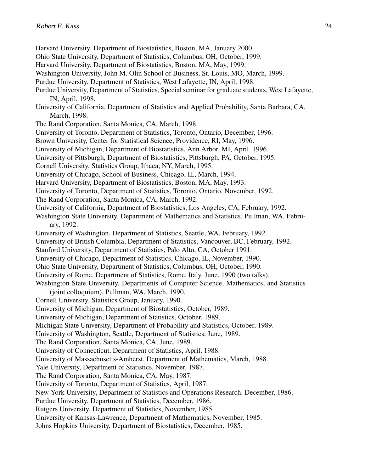- Harvard University, Department of Biostatistics, Boston, MA, January 2000.
- Ohio State University, Department of Statistics, Columbus, OH, October, 1999.
- Harvard University, Department of Biostatistics, Boston, MA, May, 1999.
- Washington University, John M. Olin School of Business, St. Louis, MO, March, 1999.
- Purdue University, Department of Statistics, West Lafayette, IN, April, 1998.
- Purdue University, Department of Statistics, Special seminar for graduate students, West Lafayette, IN, April, 1998.
- University of California, Department of Statistics and Applied Probability, Santa Barbara, CA, March, 1998.
- The Rand Corporation, Santa Monica, CA, March, 1998.
- University of Toronto, Department of Statistics, Toronto, Ontario, December, 1996.
- Brown University, Center for Statistical Science, Providence, RI, May, 1996.
- University of Michigan, Department of Biostatistics, Ann Arbor, MI, April, 1996.
- University of Pittsburgh, Department of Biostatistics, Pittsburgh, PA, October, 1995.
- Cornell University, Statistics Group, Ithaca, NY, March, 1995.
- University of Chicago, School of Business, Chicago, IL, March, 1994.
- Harvard University, Department of Biostatistics, Boston, MA, May, 1993.
- University of Toronto, Department of Statistics, Toronto, Ontario, November, 1992.
- The Rand Corporation, Santa Monica, CA, March, 1992.
- University of California, Department of Biostatistics, Los Angeles, CA, February, 1992.
- Washington State University, Department of Mathematics and Statistics, Pullman, WA, February, 1992.
- University of Washington, Department of Statistics, Seattle, WA, February, 1992.
- University of British Columbia, Department of Statistics, Vancouver, BC, February, 1992.
- Stanford University, Department of Statistics, Palo Alto, CA, October 1991.
- University of Chicago, Department of Statistics, Chicago, IL, November, 1990.
- Ohio State University, Department of Statistics, Columbus, OH, October, 1990.
- University of Rome, Department of Statistics, Rome, Italy, June, 1990 (two talks).
- Washington State University, Departments of Computer Science, Mathematics, and Statistics
- (joint colloquium), Pullman, WA, March, 1990.
- Cornell University, Statistics Group, January, 1990.
- University of Michigan, Department of Biostatistics, October, 1989.
- University of Michigan, Department of Statistics, October, 1989.
- Michigan State University, Department of Probability and Statistics, October, 1989.
- University of Washington, Seattle, Department of Statistics, June, 1989.
- The Rand Corporation, Santa Monica, CA, June, 1989.
- University of Connecticut, Department of Statistics, April, 1988.
- University of Massachusetts-Amherst, Department of Mathematics, March, 1988.
- Yale University, Department of Statistics, November, 1987.
- The Rand Corporation, Santa Monica, CA, May, 1987.
- University of Toronto, Department of Statistics, April, 1987.
- New York University, Department of Statistics and Operations Research. December, 1986.
- Purdue University, Department of Statistics, December, 1986.
- Rutgers University, Department of Statistics, November, 1985.
- University of Kansas-Lawrence, Department of Mathematics, November, 1985.
- Johns Hopkins University, Department of Biostatistics, December, 1985.